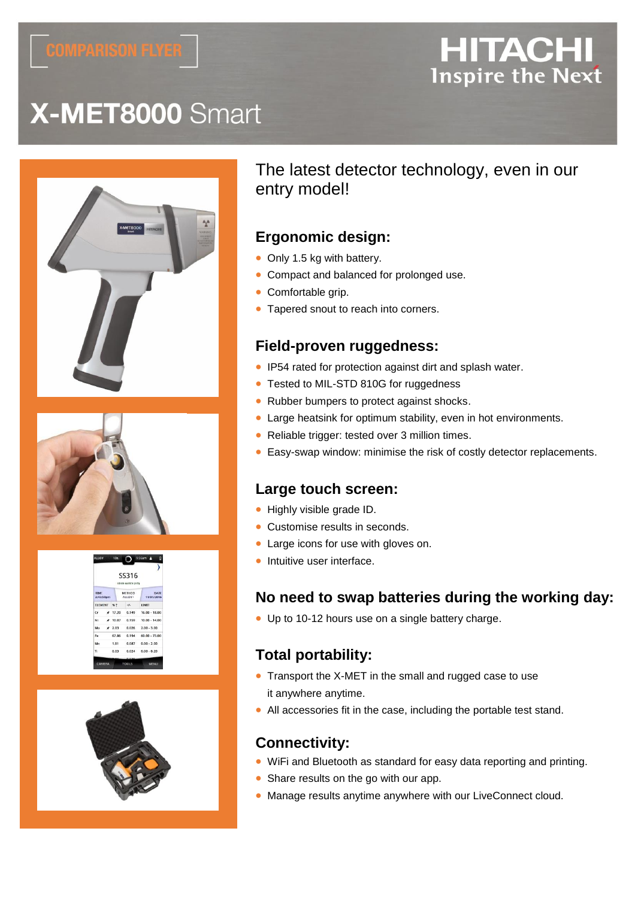# **HITACHI Inspire the Next**

# X-MET8000 Smart





| 55316<br>G000 MATCH (1/2) |                         |               |                          |    |
|---------------------------|-------------------------|---------------|--------------------------|----|
| <b>DATE</b><br>11/01/2016 | <b>METHOD</b><br>ALLOY+ |               | <b>TIME</b><br>2:43:50pm |    |
| <b>LIMIT</b>              | $+Ia$                   |               | ELEMENT % 1              |    |
| $16.00 - 18.00$           | 0.149                   | $+ 17.20$     |                          | cr |
| $10.00 - 14.00$           | 0.159                   | $\star$ 10.07 |                          | Ni |
| $0.026$ $2.00 - 3.00$     |                         | $\star$ 2.03  |                          | Mo |
| $60.00 - 73.00$           | 0.194                   | 67.86         |                          | Fe |
| $0.00 - 2.00$             | 0.087                   | 1.81          |                          | Mn |
| $0.024$ $0.00 - 0.20$     |                         | 0.03          |                          | π. |



# The latest detector technology, even in our entry model!

### **Ergonomic design:**

- Only 1.5 kg with battery.
- Compact and balanced for prolonged use.
- Comfortable grip.
- Tapered snout to reach into corners.

### **Field-proven ruggedness:**

- IP54 rated for protection against dirt and splash water.
- Tested to MIL-STD 810G for ruggedness
- Rubber bumpers to protect against shocks.
- Large heatsink for optimum stability, even in hot environments.
- Reliable trigger: tested over 3 million times.
- Easy-swap window: minimise the risk of costly detector replacements.

### **Large touch screen:**

- Highly visible grade ID.
- Customise results in seconds.
- Large icons for use with gloves on.
- Intuitive user interface.

### **No need to swap batteries during the working day:**

• Up to 10-12 hours use on a single battery charge.

## **Total portability:**

- Transport the X-MET in the small and rugged case to use it anywhere anytime.
- All accessories fit in the case, including the portable test stand.

## **Connectivity:**

- WiFi and Bluetooth as standard for easy data reporting and printing.
- Share results on the go with our app.
- Manage results anytime anywhere with our LiveConnect cloud.